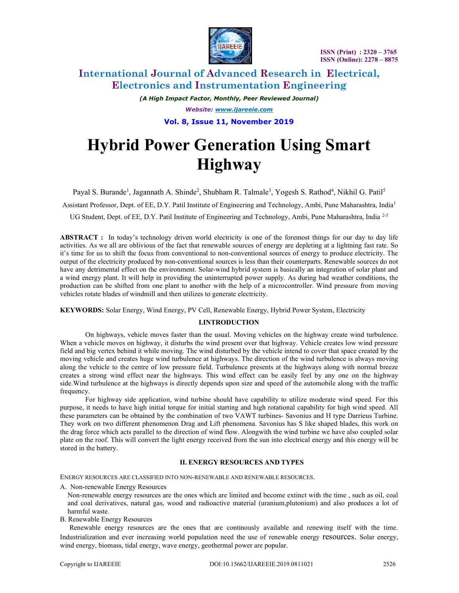

# International Journal of Advanced Research in Electrical, Electronics and Instrumentation Engineering

(A High Impact Factor, Monthly, Peer Reviewed Journal) Website: www.ijareeie.com

Vol. 8, Issue 11, November 2019

# Hybrid Power Generation Using Smart Highway

Payal S. Burande<sup>1</sup>, Jagannath A. Shinde<sup>2</sup>, Shubham R. Talmale<sup>3</sup>, Yogesh S. Rathod<sup>4</sup>, Nikhil G. Patil<sup>5</sup>

Assistant Professor, Dept. of EE, D.Y. Patil Institute of Engineering and Technology, Ambi, Pune Maharashtra, India<sup>1</sup>

UG Student, Dept. of EE, D.Y. Patil Institute of Engineering and Technology, Ambi, Pune Maharashtra, India<sup>2-5</sup>

ABSTRACT : In today's technology driven world electricity is one of the foremost things for our day to day life activities. As we all are oblivious of the fact that renewable sources of energy are depleting at a lightning fast rate. So it's time for us to shift the focus from conventional to non-conventional sources of energy to produce electricity. The output of the electricity produced by non-conventional sources is less than their counterparts. Renewable sources do not have any detrimental effect on the environment. Solar-wind hybrid system is basically an integration of solar plant and a wind energy plant. It will help in providing the uninterrupted power supply. As during bad weather conditions, the production can be shifted from one plant to another with the help of a microcontroller. Wind pressure from moving vehicles rotate blades of windmill and then utilizes to generate electricity.

KEYWORDS: Solar Energy, Wind Energy, PV Cell, Renewable Energy, Hybrid Power System, Electricity

## I.INTRODUCTION

On highways, vehicle moves faster than the usual. Moving vehicles on the highway create wind turbulence. When a vehicle moves on highway, it disturbs the wind present over that highway. Vehicle creates low wind pressure field and big vertex behind it while moving. The wind disturbed by the vehicle intend to cover that space created by the moving vehicle and creates huge wind turbulence at highways. The direction of the wind turbulence is always moving along the vehicle to the centre of low pressure field. Turbulence presents at the highways along with normal breeze creates a strong wind effect near the highways. This wind effect can be easily feel by any one on the highway side.Wind turbulence at the highways is directly depends upon size and speed of the automobile along with the traffic frequency.

For highway side application, wind turbine should have capability to utilize moderate wind speed. For this purpose, it needs to have high initial torque for initial starting and high rotational capability for high wind speed. All these parameters can be obtained by the combination of two VAWT turbines- Savonius and H type Darrieus Turbine. They work on two different phenomenon Drag and Lift phenomena. Savonius has S like shaped blades, this work on the drag force which acts parallel to the direction of wind flow. Alongwith the wind turbine we have also coupled solar plate on the roof. This will convert the light energy received from the sun into electrical energy and this energy will be stored in the battery.

## II. ENERGY RESOURCES AND TYPES

ENERGY RESOURCES ARE CLASSIFIED INTO NON-RENEWABLE AND RENEWABLE RESOURCES.

A. Non-renewable Energy Resources

Non-renewable energy resources are the ones which are limited and become extinct with the time , such as oil, coal and coal derivatives, natural gas, wood and radioactive material (uranium,plutonium) and also produces a lot of harmful waste.

B. Renewable Energy Resources

 Renewable energy resources are the ones that are continously available and renewing itself with the time. Industrialization and ever increasing world population need the use of renewable energy resources. Solar energy, wind energy, biomass, tidal energy, wave energy, geothermal power are popular.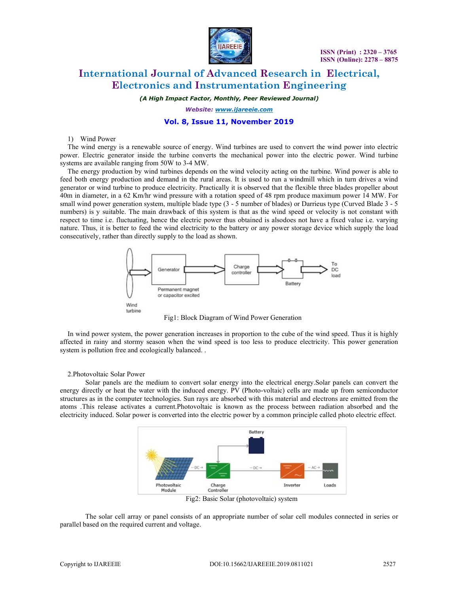

# International Journal of Advanced Research in Electrical, Electronics and Instrumentation Engineering

(A High Impact Factor, Monthly, Peer Reviewed Journal)

Website: www.ijareeie.com

## Vol. 8, Issue 11, November 2019

#### 1) Wind Power

The wind energy is a renewable source of energy. Wind turbines are used to convert the wind power into electric power. Electric generator inside the turbine converts the mechanical power into the electric power. Wind turbine systems are available ranging from 50W to 3-4 MW.

The energy production by wind turbines depends on the wind velocity acting on the turbine. Wind power is able to feed both energy production and demand in the rural areas. It is used to run a windmill which in turn drives a wind generator or wind turbine to produce electricity. Practically it is observed that the flexible three blades propeller about 40m in diameter, in a 62 Km/hr wind pressure with a rotation speed of 48 rpm produce maximum power 14 MW. For small wind power generation system, multiple blade type (3 - 5 number of blades) or Darrieus type (Curved Blade 3 - 5 numbers) is y suitable. The main drawback of this system is that as the wind speed or velocity is not constant with respect to time i.e. fluctuating, hence the electric power thus obtained is alsodoes not have a fixed value i.e. varying nature. Thus, it is better to feed the wind electricity to the battery or any power storage device which supply the load consecutively, rather than directly supply to the load as shown.



Fig1: Block Diagram of Wind Power Generation

In wind power system, the power generation increases in proportion to the cube of the wind speed. Thus it is highly affected in rainy and stormy season when the wind speed is too less to produce electricity. This power generation system is pollution free and ecologically balanced. .

#### 2.Photovoltaic Solar Power

Solar panels are the medium to convert solar energy into the electrical energy.Solar panels can convert the energy directly or heat the water with the induced energy. PV (Photo-voltaic) cells are made up from semiconductor structures as in the computer technologies. Sun rays are absorbed with this material and electrons are emitted from the atoms .This release activates a current.Photovoltaic is known as the process between radiation absorbed and the electricity induced. Solar power is converted into the electric power by a common principle called photo electric effect.



The solar cell array or panel consists of an appropriate number of solar cell modules connected in series or parallel based on the required current and voltage.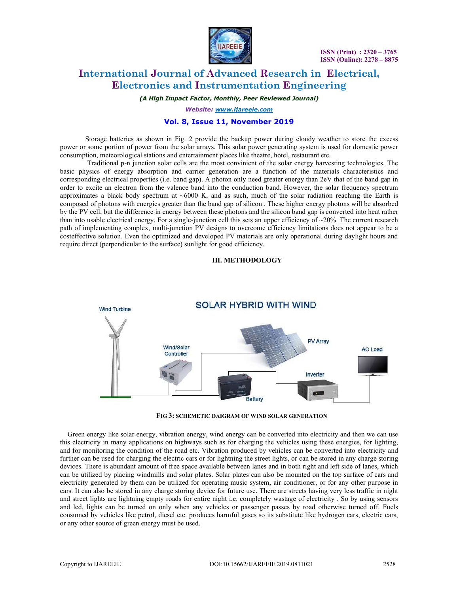

# International Journal of Advanced Research in Electrical, Electronics and Instrumentation Engineering

(A High Impact Factor, Monthly, Peer Reviewed Journal)

Website: www.ijareeie.com

## Vol. 8, Issue 11, November 2019

Storage batteries as shown in Fig. 2 provide the backup power during cloudy weather to store the excess power or some portion of power from the solar arrays. This solar power generating system is used for domestic power consumption, meteorological stations and entertainment places like theatre, hotel, restaurant etc.

 Traditional p-n junction solar cells are the most convinient of the solar energy harvesting technologies. The basic physics of energy absorption and carrier generation are a function of the materials characteristics and corresponding electrical properties (i.e. band gap). A photon only need greater energy than 2eV that of the band gap in order to excite an electron from the valence band into the conduction band. However, the solar frequency spectrum approximates a black body spectrum at  $~6000$  K, and as such, much of the solar radiation reaching the Earth is composed of photons with energies greater than the band gap of silicon . These higher energy photons will be absorbed by the PV cell, but the difference in energy between these photons and the silicon band gap is converted into heat rather than into usable electrical energy. For a single-junction cell this sets an upper efficiency of  $\sim$ 20%. The current research path of implementing complex, multi-junction PV designs to overcome efficiency limitations does not appear to be a costeffective solution. Even the optimized and developed PV materials are only operational during daylight hours and require direct (perpendicular to the surface) sunlight for good efficiency.

#### III. METHODOLOGY



FIG 3: SCHEMETIC DAIGRAM OF WIND SOLAR GENERATION

Green energy like solar energy, vibration energy, wind energy can be converted into electricity and then we can use this electricity in many applications on highways such as for charging the vehicles using these energies, for lighting, and for monitoring the condition of the road etc. Vibration produced by vehicles can be converted into electricity and further can be used for charging the electric cars or for lightning the street lights, or can be stored in any charge storing devices. There is abundant amount of free space available between lanes and in both right and left side of lanes, which can be utilized by placing windmills and solar plates. Solar plates can also be mounted on the top surface of cars and electricity generated by them can be utilized for operating music system, air conditioner, or for any other purpose in cars. It can also be stored in any charge storing device for future use. There are streets having very less traffic in night and street lights are lightning empty roads for entire night i.e. completely wastage of electricity . So by using sensors and led, lights can be turned on only when any vehicles or passenger passes by road otherwise turned off. Fuels consumed by vehicles like petrol, diesel etc. produces harmful gases so its substitute like hydrogen cars, electric cars, or any other source of green energy must be used.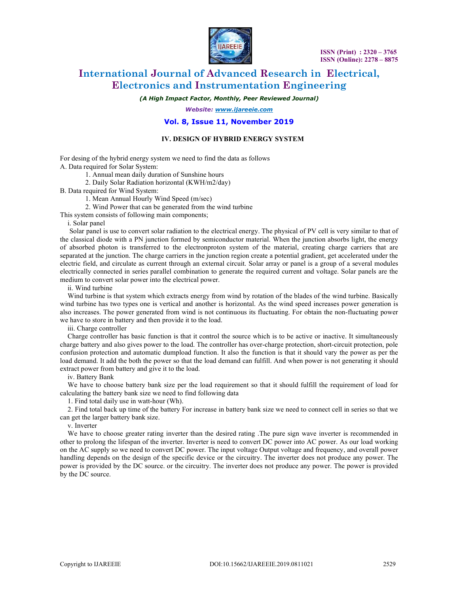

# International Journal of Advanced Research in Electrical, Electronics and Instrumentation Engineering

(A High Impact Factor, Monthly, Peer Reviewed Journal)

Website: www.ijareeie.com

### Vol. 8, Issue 11, November 2019

#### IV. DESIGN OF HYBRID ENERGY SYSTEM

For desing of the hybrid energy system we need to find the data as follows A. Data required for Solar System:

1. Annual mean daily duration of Sunshine hours

2. Daily Solar Radiation horizontal (KWH/m2/day)

B. Data required for Wind System:

1. Mean Annual Hourly Wind Speed (m/sec)

2. Wind Power that can be generated from the wind turbine

This system consists of following main components;

#### i. Solar panel

 Solar panel is use to convert solar radiation to the electrical energy. The physical of PV cell is very similar to that of the classical diode with a PN junction formed by semiconductor material. When the junction absorbs light, the energy of absorbed photon is transferred to the electronproton system of the material, creating charge carriers that are separated at the junction. The charge carriers in the junction region create a potential gradient, get accelerated under the electric field, and circulate as current through an external circuit. Solar array or panel is a group of a several modules electrically connected in series parallel combination to generate the required current and voltage. Solar panels are the medium to convert solar power into the electrical power.

ii. Wind turbine

Wind turbine is that system which extracts energy from wind by rotation of the blades of the wind turbine. Basically wind turbine has two types one is vertical and another is horizontal. As the wind speed increases power generation is also increases. The power generated from wind is not continuous its fluctuating. For obtain the non-fluctuating power we have to store in battery and then provide it to the load.

iii. Charge controller

Charge controller has basic function is that it control the source which is to be active or inactive. It simultaneously charge battery and also gives power to the load. The controller has over-charge protection, short-circuit protection, pole confusion protection and automatic dumpload function. It also the function is that it should vary the power as per the load demand. It add the both the power so that the load demand can fulfill. And when power is not generating it should extract power from battery and give it to the load.

iv. Battery Bank

We have to choose battery bank size per the load requirement so that it should fulfill the requirement of load for calculating the battery bank size we need to find following data

1. Find total daily use in watt-hour (Wh).

2. Find total back up time of the battery For increase in battery bank size we need to connect cell in series so that we can get the larger battery bank size.

v. Inverter

We have to choose greater rating inverter than the desired rating .The pure sign wave inverter is recommended in other to prolong the lifespan of the inverter. Inverter is need to convert DC power into AC power. As our load working on the AC supply so we need to convert DC power. The input voltage Output voltage and frequency, and overall power handling depends on the design of the specific device or the circuitry. The inverter does not produce any power. The power is provided by the DC source. or the circuitry. The inverter does not produce any power. The power is provided by the DC source.